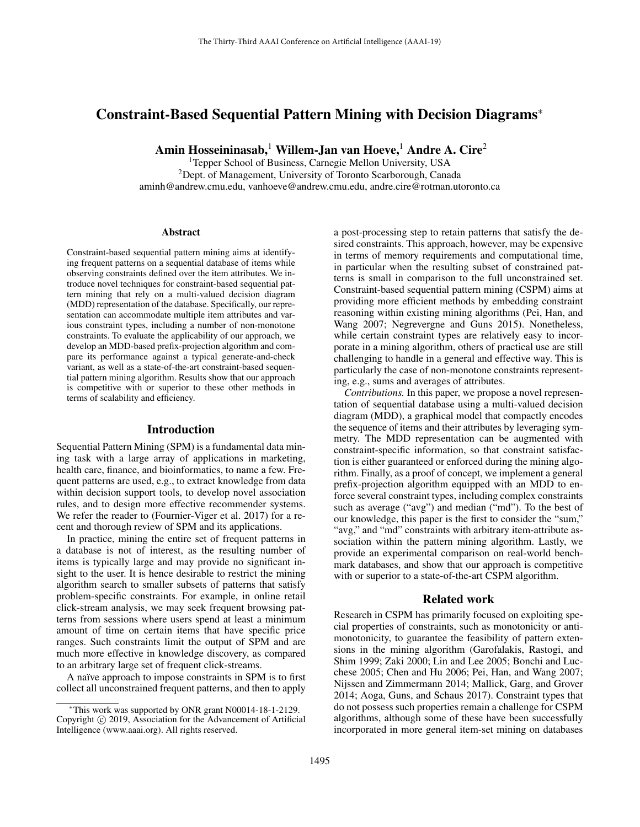# Constraint-Based Sequential Pattern Mining with Decision Diagrams<sup>∗</sup>

Amin Hosseininasab,<sup>1</sup> Willem-Jan van Hoeve,<sup>1</sup> Andre A. Cire<sup>2</sup>

<sup>1</sup>Tepper School of Business, Carnegie Mellon University, USA <sup>2</sup>Dept. of Management, University of Toronto Scarborough, Canada aminh@andrew.cmu.edu, vanhoeve@andrew.cmu.edu, andre.cire@rotman.utoronto.ca

#### Abstract

Constraint-based sequential pattern mining aims at identifying frequent patterns on a sequential database of items while observing constraints defined over the item attributes. We introduce novel techniques for constraint-based sequential pattern mining that rely on a multi-valued decision diagram (MDD) representation of the database. Specifically, our representation can accommodate multiple item attributes and various constraint types, including a number of non-monotone constraints. To evaluate the applicability of our approach, we develop an MDD-based prefix-projection algorithm and compare its performance against a typical generate-and-check variant, as well as a state-of-the-art constraint-based sequential pattern mining algorithm. Results show that our approach is competitive with or superior to these other methods in terms of scalability and efficiency.

## Introduction

Sequential Pattern Mining (SPM) is a fundamental data mining task with a large array of applications in marketing, health care, finance, and bioinformatics, to name a few. Frequent patterns are used, e.g., to extract knowledge from data within decision support tools, to develop novel association rules, and to design more effective recommender systems. We refer the reader to [\(Fournier-Viger et al. 2017\)](#page-7-0) for a recent and thorough review of SPM and its applications.

In practice, mining the entire set of frequent patterns in a database is not of interest, as the resulting number of items is typically large and may provide no significant insight to the user. It is hence desirable to restrict the mining algorithm search to smaller subsets of patterns that satisfy problem-specific constraints. For example, in online retail click-stream analysis, we may seek frequent browsing patterns from sessions where users spend at least a minimum amount of time on certain items that have specific price ranges. Such constraints limit the output of SPM and are much more effective in knowledge discovery, as compared to an arbitrary large set of frequent click-streams.

A naïve approach to impose constraints in SPM is to first collect all unconstrained frequent patterns, and then to apply

a post-processing step to retain patterns that satisfy the desired constraints. This approach, however, may be expensive in terms of memory requirements and computational time, in particular when the resulting subset of constrained patterns is small in comparison to the full unconstrained set. Constraint-based sequential pattern mining (CSPM) aims at providing more efficient methods by embedding constraint reasoning within existing mining algorithms [\(Pei, Han, and](#page-7-1) [Wang 2007;](#page-7-1) [Negrevergne and Guns 2015\)](#page-7-2). Nonetheless, while certain constraint types are relatively easy to incorporate in a mining algorithm, others of practical use are still challenging to handle in a general and effective way. This is particularly the case of non-monotone constraints representing, e.g., sums and averages of attributes.

*Contributions.* In this paper, we propose a novel representation of sequential database using a multi-valued decision diagram (MDD), a graphical model that compactly encodes the sequence of items and their attributes by leveraging symmetry. The MDD representation can be augmented with constraint-specific information, so that constraint satisfaction is either guaranteed or enforced during the mining algorithm. Finally, as a proof of concept, we implement a general prefix-projection algorithm equipped with an MDD to enforce several constraint types, including complex constraints such as average ("avg") and median ("md"). To the best of our knowledge, this paper is the first to consider the "sum," "avg," and "md" constraints with arbitrary item-attribute association within the pattern mining algorithm. Lastly, we provide an experimental comparison on real-world benchmark databases, and show that our approach is competitive with or superior to a state-of-the-art CSPM algorithm.

### Related work

Research in CSPM has primarily focused on exploiting special properties of constraints, such as monotonicity or antimonotonicity, to guarantee the feasibility of pattern extensions in the mining algorithm [\(Garofalakis, Rastogi, and](#page-7-3) [Shim 1999;](#page-7-3) [Zaki 2000;](#page-7-4) [Lin and Lee 2005;](#page-7-5) [Bonchi and Luc](#page-7-6)[chese 2005;](#page-7-6) [Chen and Hu 2006;](#page-7-7) [Pei, Han, and Wang 2007;](#page-7-1) [Nijssen and Zimmermann 2014;](#page-7-8) [Mallick, Garg, and Grover](#page-7-9) [2014;](#page-7-9) [Aoga, Guns, and Schaus 2017\)](#page-7-10). Constraint types that do not possess such properties remain a challenge for CSPM algorithms, although some of these have been successfully incorporated in more general item-set mining on databases

<sup>∗</sup>This work was supported by ONR grant N00014-18-1-2129. Copyright © 2019, Association for the Advancement of Artificial Intelligence (www.aaai.org). All rights reserved.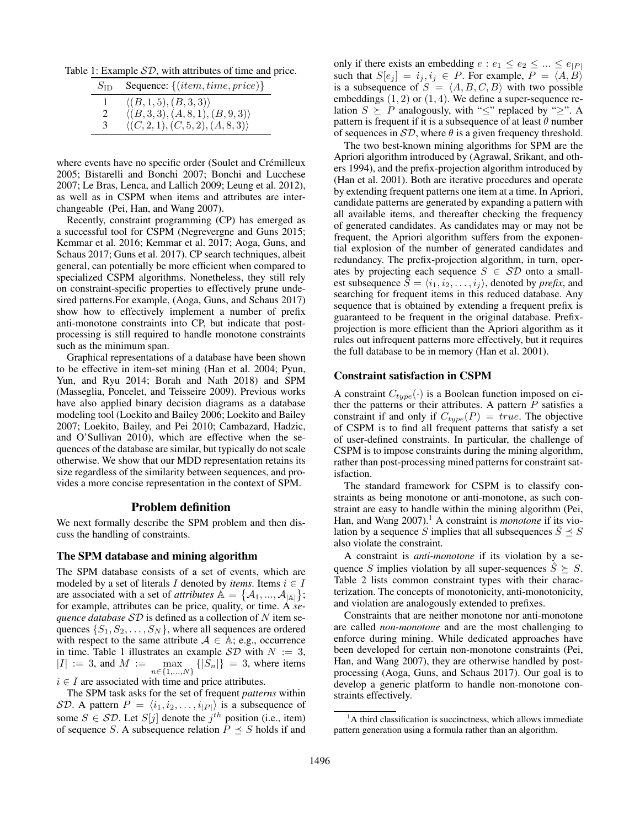Table 1: Example  $SD$ , with attributes of time and price.

<span id="page-1-0"></span>

| $S_{\rm ID}$  | Sequence: $\{(item, time, price)\}$               |
|---------------|---------------------------------------------------|
|               | $\langle (B,1,5), (B,3,3) \rangle$                |
| $\mathcal{L}$ | $\langle (B,3,3), (A,8,1), (B,9,3) \rangle$       |
| 3             | $\langle (C, 2, 1), (C, 5, 2), (A, 8, 3) \rangle$ |

where events have no specific order (Soulet and Crémilleux [2005;](#page-7-11) [Bistarelli and Bonchi 2007;](#page-7-12) [Bonchi and Lucchese](#page-7-13) [2007;](#page-7-13) [Le Bras, Lenca, and Lallich 2009;](#page-7-14) [Leung et al. 2012\)](#page-7-15), as well as in CSPM when items and attributes are interchangeable [\(Pei, Han, and Wang 2007\)](#page-7-1).

Recently, constraint programming (CP) has emerged as a successful tool for CSPM [\(Negrevergne and Guns 2015;](#page-7-2) [Kemmar et al. 2016;](#page-7-16) [Kemmar et al. 2017;](#page-7-17) [Aoga, Guns, and](#page-7-10) [Schaus 2017;](#page-7-10) [Guns et al. 2017\)](#page-7-18). CP search techniques, albeit general, can potentially be more efficient when compared to specialized CSPM algorithms. Nonetheless, they still rely on constraint-specific properties to effectively prune undesired patterns.For example, [\(Aoga, Guns, and Schaus 2017\)](#page-7-10) show how to effectively implement a number of prefix anti-monotone constraints into CP, but indicate that postprocessing is still required to handle monotone constraints such as the minimum span.

Graphical representations of a database have been shown to be effective in item-set mining [\(Han et al. 2004;](#page-7-19) [Pyun,](#page-7-20) [Yun, and Ryu 2014;](#page-7-20) [Borah and Nath 2018\)](#page-7-21) and SPM [\(Masseglia, Poncelet, and Teisseire 2009\)](#page-7-22). Previous works have also applied binary decision diagrams as a database modeling tool [\(Loekito and Bailey 2006;](#page-7-23) [Loekito and Bailey](#page-7-24) [2007;](#page-7-24) [Loekito, Bailey, and Pei 2010;](#page-7-25) [Cambazard, Hadzic,](#page-7-26) [and O'Sullivan 2010\)](#page-7-26), which are effective when the sequences of the database are similar, but typically do not scale otherwise. We show that our MDD representation retains its size regardless of the similarity between sequences, and provides a more concise representation in the context of SPM.

## Problem definition

We next formally describe the SPM problem and then discuss the handling of constraints.

### The SPM database and mining algorithm

The SPM database consists of a set of events, which are modeled by a set of literals I denoted by *items*. Items  $i \in I$ are associated with a set of *attributes*  $\mathbb{A} = \{A_1, ..., A_{|\mathbb{A}|}\};$ for example, attributes can be price, quality, or time. A *sequence database* SD is defined as a collection of N item sequences  $\{S_1, S_2, \ldots, S_N\}$ , where all sequences are ordered with respect to the same attribute  $A \in A$ ; e.g., occurrence in time. Table [1](#page-1-0) illustrates an example  $\mathcal{SD}$  with  $N := 3$ ,  $|I| := 3$ , and  $M :=$  $\max_{n \in \{1, ..., N\}} \left\{ |S_n| \right\} = 3$ , where items

 $i \in I$  are associated with time and price attributes.

The SPM task asks for the set of frequent *patterns* within SD. A pattern  $P = \langle i_1, i_2, \ldots, i_{|P|} \rangle$  is a subsequence of some  $S \in \mathcal{SD}$ . Let  $S[j]$  denote the  $j^{th}$  position (i.e., item) of sequence S. A subsequence relation  $P \leq S$  holds if and

only if there exists an embedding  $e : e_1 \le e_2 \le ... \le e_{|P|}$ such that  $S[e_i] = i_j, i_j \in P$ . For example,  $P = \langle A, B \rangle$ is a subsequence of  $S = \langle A, B, C, B \rangle$  with two possible embeddings  $(1, 2)$  or  $(1, 4)$ . We define a super-sequence relation  $S \succeq P$  analogously, with " $\leq$ " replaced by " $\geq$ ". A pattern is frequent if it is a subsequence of at least  $\theta$  number of sequences in  $\mathcal{SD}$ , where  $\theta$  is a given frequency threshold.

The two best-known mining algorithms for SPM are the Apriori algorithm introduced by [\(Agrawal, Srikant, and oth](#page-7-27)[ers 1994\)](#page-7-27), and the prefix-projection algorithm introduced by [\(Han et al. 2001\)](#page-7-28). Both are iterative procedures and operate by extending frequent patterns one item at a time. In Apriori, candidate patterns are generated by expanding a pattern with all available items, and thereafter checking the frequency of generated candidates. As candidates may or may not be frequent, the Apriori algorithm suffers from the exponential explosion of the number of generated candidates and redundancy. The prefix-projection algorithm, in turn, operates by projecting each sequence  $S \in \mathcal{SD}$  onto a smallest subsequence  $\overline{S} = \langle i_1, i_2, \ldots, i_j \rangle$ , denoted by *prefix*, and searching for frequent items in this reduced database. Any sequence that is obtained by extending a frequent prefix is guaranteed to be frequent in the original database. Prefixprojection is more efficient than the Apriori algorithm as it rules out infrequent patterns more effectively, but it requires the full database to be in memory [\(Han et al. 2001\)](#page-7-28).

#### Constraint satisfaction in CSPM

A constraint  $C_{type}(\cdot)$  is a Boolean function imposed on either the patterns or their attributes. A pattern  $P$  satisfies a constraint if and only if  $C_{type}(P) = true$ . The objective of CSPM is to find all frequent patterns that satisfy a set of user-defined constraints. In particular, the challenge of CSPM is to impose constraints during the mining algorithm, rather than post-processing mined patterns for constraint satisfaction.

The standard framework for CSPM is to classify constraints as being monotone or anti-monotone, as such constraint are easy to handle within the mining algorithm [\(Pei,](#page-7-1) [Han, and Wang 2007\)](#page-7-1).<sup>[1](#page-1-1)</sup> A constraint is *monotone* if its violation by a sequence S implies that all subsequences  $S \preceq S$ also violate the constraint.

A constraint is *anti-monotone* if its violation by a sequence S implies violation by all super-sequences  $\hat{S} \succeq S$ . Table [2](#page-2-0) lists common constraint types with their characterization. The concepts of monotonicity, anti-monotonicity, and violation are analogously extended to prefixes.

Constraints that are neither monotone nor anti-monotone are called *non-monotone* and are the most challenging to enforce during mining. While dedicated approaches have been developed for certain non-monotone constraints [\(Pei,](#page-7-1) [Han, and Wang 2007\)](#page-7-1), they are otherwise handled by postprocessing [\(Aoga, Guns, and Schaus 2017\)](#page-7-10). Our goal is to develop a generic platform to handle non-monotone constraints effectively.

<span id="page-1-1"></span> $<sup>1</sup>A$  third classification is succinctness, which allows immediate</sup> pattern generation using a formula rather than an algorithm.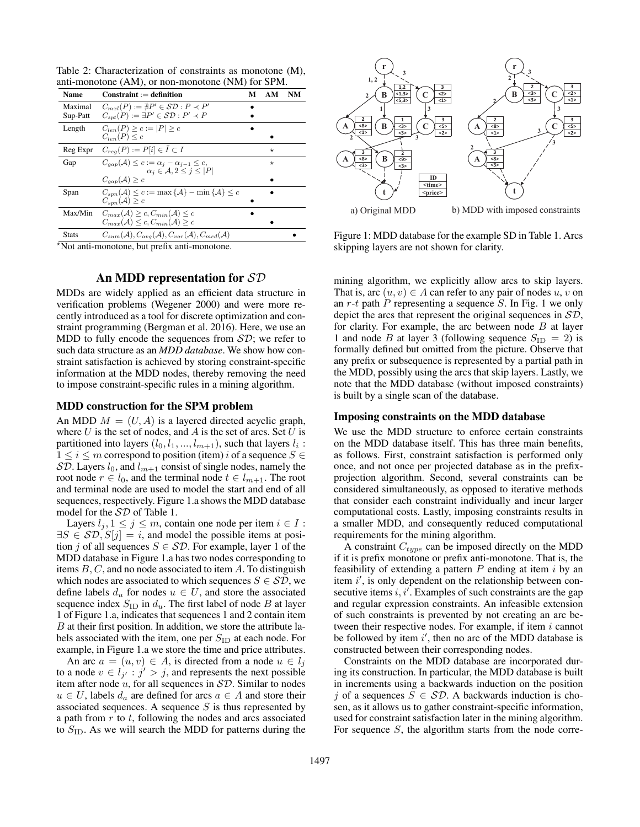<span id="page-2-0"></span>Table 2: Characterization of constraints as monotone (M), anti-monotone (AM), or non-monotone (NM) for SPM.

| Name                | $Construction: = definition$                                                                                                | М | AМ       | NM |
|---------------------|-----------------------------------------------------------------------------------------------------------------------------|---|----------|----|
| Maximal<br>Sup-Patt | $C_{m,r}(P) := \nexists P' \in \mathcal{SD} : P \prec P'$<br>$C_{snt}(P) := \exists P' \in \mathcal{SD} : P' \prec P$       |   |          |    |
| Length              | $C_{len}(P) > c :=  P  > c$<br>$C_{len}(P) \leq c$                                                                          |   |          |    |
| Reg Expr            | $C_{reg}(P) := P[i] \in I \subset I$                                                                                        |   | $^\star$ |    |
| Gap                 | $C_{aan}(\mathcal{A}) \leq c := \alpha_i - \alpha_{i-1} \leq c$<br>$\alpha_i \in \mathcal{A}, 2 \leq j \leq  P $            |   | $^\star$ |    |
|                     | $C_{aan}(\mathcal{A}) \geq c$                                                                                               |   |          |    |
| Span                | $C_{snn}(\mathcal{A}) \leq c := \max \{ \mathcal{A} \} - \min \{ \mathcal{A} \} \leq c$<br>$C_{snn}(\mathcal{A}) > c$       |   |          |    |
| Max/Min             | $C_{max}(\mathcal{A}) \geq c$ , $C_{min}(\mathcal{A}) \leq c$<br>$C_{max}(\mathcal{A}) \leq c, C_{min}(\mathcal{A}) \geq c$ |   |          |    |
| <b>Stats</b>        | $C_{sum}(\mathcal{A}), C_{avg}(\mathcal{A}), C_{var}(\mathcal{A}), C_{med}(\mathcal{A})$                                    |   |          |    |

<sup>⋆</sup>Not anti-monotone, but prefix anti-monotone.

## An MDD representation for SD

MDDs are widely applied as an efficient data structure in verification problems [\(Wegener 2000\)](#page-7-29) and were more recently introduced as a tool for discrete optimization and constraint programming [\(Bergman et al. 2016\)](#page-7-30). Here, we use an MDD to fully encode the sequences from  $\mathcal{SD}$ ; we refer to such data structure as an *MDD database*. We show how constraint satisfaction is achieved by storing constraint-specific information at the MDD nodes, thereby removing the need to impose constraint-specific rules in a mining algorithm.

#### MDD construction for the SPM problem

An MDD  $M = (U, A)$  is a layered directed acyclic graph, where  $U$  is the set of nodes, and  $A$  is the set of arcs. Set  $U$  is partitioned into layers  $(l_0, l_1, ..., l_{m+1})$ , such that layers  $l_i$ :  $1 \le i \le m$  correspond to position (item) i of a sequence  $S \in$ SD. Layers  $l_0$ , and  $l_{m+1}$  consist of single nodes, namely the root node  $r \in l_0$ , and the terminal node  $t \in l_{m+1}$ . The root and terminal node are used to model the start and end of all sequences, respectively. Figure [1.](#page-2-1)a shows the MDD database model for the SD of Table [1.](#page-1-0)

Layers  $l_j, 1 \leq j \leq m$ , contain one node per item  $i \in I$ :  $\exists S \in \mathcal{SD}, S[j] = i$ , and model the possible items at position j of all sequences  $S \in \mathcal{SD}$ . For example, layer 1 of the MDD database in Figure [1.](#page-2-1)a has two nodes corresponding to items  $B, C$ , and no node associated to item  $A$ . To distinguish which nodes are associated to which sequences  $S \in \mathcal{SD}$ , we define labels  $d_u$  for nodes  $u \in U$ , and store the associated sequence index  $S_{\text{ID}}$  in  $d_u$ . The first label of node B at layer 1 of Figure [1.](#page-2-1)a, indicates that sequences 1 and 2 contain item  $B$  at their first position. In addition, we store the attribute labels associated with the item, one per  $S_{ID}$  at each node. For example, in Figure [1.](#page-2-1)a we store the time and price attributes.

An arc  $a = (u, v) \in A$ , is directed from a node  $u \in l_i$ to a node  $v \in l_{j'} : j' > j$ , and represents the next possible item after node  $u$ , for all sequences in  $\mathcal{SD}$ . Similar to nodes  $u \in U$ , labels  $d_a$  are defined for arcs  $a \in A$  and store their associated sequences. A sequence  $S$  is thus represented by a path from  $r$  to  $t$ , following the nodes and arcs associated to  $S_{\text{ID}}$ . As we will search the MDD for patterns during the



<span id="page-2-1"></span>Figure 1: MDD database for the example SD in Table [1.](#page-1-0) Arcs skipping layers are not shown for clarity.

mining algorithm, we explicitly allow arcs to skip layers. That is, arc  $(u, v) \in A$  can refer to any pair of nodes u, v on an  $r-t$  path  $P$  representing a sequence  $S$ . In Fig. [1](#page-2-1) we only depict the arcs that represent the original sequences in SD, for clarity. For example, the arc between node  $B$  at layer 1 and node B at layer 3 (following sequence  $S_{\text{ID}} = 2$ ) is formally defined but omitted from the picture. Observe that any prefix or subsequence is represented by a partial path in the MDD, possibly using the arcs that skip layers. Lastly, we note that the MDD database (without imposed constraints) is built by a single scan of the database.

#### Imposing constraints on the MDD database

We use the MDD structure to enforce certain constraints on the MDD database itself. This has three main benefits, as follows. First, constraint satisfaction is performed only once, and not once per projected database as in the prefixprojection algorithm. Second, several constraints can be considered simultaneously, as opposed to iterative methods that consider each constraint individually and incur larger computational costs. Lastly, imposing constraints results in a smaller MDD, and consequently reduced computational requirements for the mining algorithm.

A constraint  $C_{type}$  can be imposed directly on the MDD if it is prefix monotone or prefix anti-monotone. That is, the feasibility of extending a pattern  $P$  ending at item  $i$  by an item  $i'$ , is only dependent on the relationship between consecutive items  $i, i'$ . Examples of such constraints are the gap and regular expression constraints. An infeasible extension of such constraints is prevented by not creating an arc between their respective nodes. For example, if item  $i$  cannot be followed by item  $i'$ , then no arc of the MDD database is constructed between their corresponding nodes.

Constraints on the MDD database are incorporated during its construction. In particular, the MDD database is built in increments using a backwards induction on the position j of a sequences  $S \in \mathcal{SD}$ . A backwards induction is chosen, as it allows us to gather constraint-specific information, used for constraint satisfaction later in the mining algorithm. For sequence  $S$ , the algorithm starts from the node corre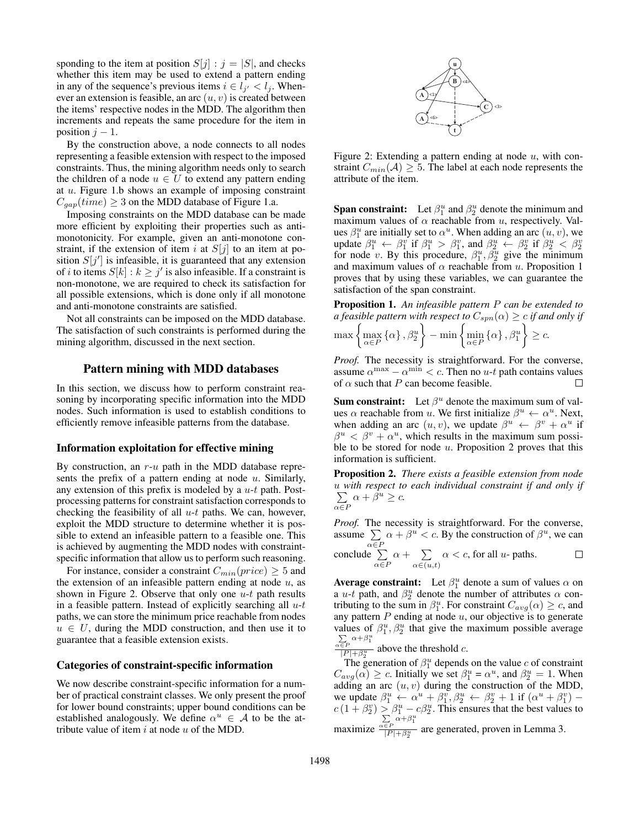sponding to the item at position  $S[j] : j = |S|$ , and checks whether this item may be used to extend a pattern ending in any of the sequence's previous items  $i \in l_{j'} < l_j$ . Whenever an extension is feasible, an arc  $(u, v)$  is created between the items' respective nodes in the MDD. The algorithm then increments and repeats the same procedure for the item in position  $j - 1$ .

By the construction above, a node connects to all nodes representing a feasible extension with respect to the imposed constraints. Thus, the mining algorithm needs only to search the children of a node  $u \in U$  to extend any pattern ending at u. Figure [1.](#page-2-1)b shows an example of imposing constraint  $C_{gap}(time) \geq 3$  on the MDD database of Figure [1.](#page-2-1)a.

Imposing constraints on the MDD database can be made more efficient by exploiting their properties such as antimonotonicity. For example, given an anti-monotone constraint, if the extension of item i at  $S[j]$  to an item at position  $S[j']$  is infeasible, it is guaranteed that any extension of *i* to items  $S[k]: k \geq j'$  is also infeasible. If a constraint is non-monotone, we are required to check its satisfaction for all possible extensions, which is done only if all monotone and anti-monotone constraints are satisfied.

Not all constraints can be imposed on the MDD database. The satisfaction of such constraints is performed during the mining algorithm, discussed in the next section.

## Pattern mining with MDD databases

In this section, we discuss how to perform constraint reasoning by incorporating specific information into the MDD nodes. Such information is used to establish conditions to efficiently remove infeasible patterns from the database.

### Information exploitation for effective mining

By construction, an  $r-u$  path in the MDD database represents the prefix of a pattern ending at node  $u$ . Similarly, any extension of this prefix is modeled by a  $u-t$  path. Postprocessing patterns for constraint satisfaction corresponds to checking the feasibility of all  $u-t$  paths. We can, however, exploit the MDD structure to determine whether it is possible to extend an infeasible pattern to a feasible one. This is achieved by augmenting the MDD nodes with constraintspecific information that allow us to perform such reasoning.

For instance, consider a constraint  $C_{min}(price) \geq 5$  and the extension of an infeasible pattern ending at node  $u$ , as shown in Figure [2.](#page-3-0) Observe that only one  $u-t$  path results in a feasible pattern. Instead of explicitly searching all  $u-t$ paths, we can store the minimum price reachable from nodes  $u \in U$ , during the MDD construction, and then use it to guarantee that a feasible extension exists.

## Categories of constraint-specific information

We now describe constraint-specific information for a number of practical constraint classes. We only present the proof for lower bound constraints; upper bound conditions can be established analogously. We define  $\alpha^u \in A$  to be the attribute value of item  $i$  at node  $u$  of the MDD.



<span id="page-3-0"></span>Figure 2: Extending a pattern ending at node  $u$ , with constraint  $C_{min}(\mathcal{A}) \geq 5$ . The label at each node represents the attribute of the item.

**Span constraint:** Let  $\beta_1^u$  and  $\beta_2^u$  denote the minimum and maximum values of  $\alpha$  reachable from u, respectively. Values  $\beta_1^u$  are initially set to  $\alpha^u$ . When adding an arc  $(u, v)$ , we update  $\beta_1^u \leftarrow \beta_1^v$  if  $\beta_1^u > \beta_1^v$ , and  $\beta_2^u \leftarrow \beta_2^v$  if  $\beta_2^u \leftarrow \beta_2^v$  for node v. By this procedure,  $\beta_1^u, \beta_2^u$  give the minimum and maximum values of  $\alpha$  reachable from u. Proposition [1](#page-3-1) proves that by using these variables, we can guarantee the satisfaction of the span constraint.

<span id="page-3-1"></span>Proposition 1. *An infeasible pattern* P *can be extended to a feasible pattern with respect to*  $C_{spn}(\alpha) \geq c$  *if and only if* 

$$
\max \left\{ \max_{\alpha \in P} \left\{ \alpha \right\}, \beta_2^u \right\} - \min \left\{ \min_{\alpha \in P} \left\{ \alpha \right\}, \beta_1^u \right\} \ge c.
$$

*Proof.* The necessity is straightforward. For the converse, assume  $\alpha^{\max} - \alpha^{\min} < c$ . Then no u-t path contains values of  $\alpha$  such that P can become feasible.  $\Box$ 

**Sum constraint:** Let  $\beta^u$  denote the maximum sum of values  $\alpha$  reachable from u. We first initialize  $\beta^u \leftarrow \alpha^u$ . Next, when adding an arc  $(u, v)$ , we update  $\beta^u \leftarrow \beta^v + \alpha^u$  if  $\beta^u < \beta^v + \alpha^u$ , which results in the maximum sum possible to be stored for node  $u$ . Proposition [2](#page-3-2) proves that this information is sufficient.

<span id="page-3-2"></span>Proposition 2. *There exists a feasible extension from node* u *with respect to each individual constraint if and only if* ∑  $\alpha \in F$  $\alpha + \beta^u \geq c.$ 

*Proof.* The necessity is straightforward. For the converse, assume ∑  $\alpha \in F$  $\alpha + \beta^u < c$ . By the construction of  $\beta^u$ , we can conclude ∑  $\alpha \in F$  $\alpha + \sum$  $\alpha \in (u,t)$  $\alpha < c$ , for all *u*- paths.

**Average constraint:** Let  $\beta_1^u$  denote a sum of values  $\alpha$  on a *u*-t path, and  $\beta_2^u$  denote the number of attributes  $\alpha$  contributing to the sum in  $\beta_1^u$ . For constraint  $C_{avg}(\alpha) \geq c$ , and any pattern  $P$  ending at node  $u$ , our objective is to generate values of  $\beta_1^u$ ,  $\beta_2^u$  that give the maximum possible average  $\sum_{\alpha \in P} \alpha + \beta_1^u$ 

 $\frac{\epsilon P}{|P| + \beta_2^u}$  above the threshold c.

The generation of  $\beta_1^u$  depends on the value c of constraint  $C_{avg}(\alpha) \geq c$ . Initially we set  $\beta_1^u = \alpha^u$ , and  $\beta_2^u = 1$ . When adding an arc  $(u, v)$  during the construction of the MDD, we update  $\beta_1^u \leftarrow \alpha^u + \beta_1^v, \beta_2^u \leftarrow \beta_2^v + 1$  if  $(\alpha^u + \beta_1^v)$  $c(1+\beta_2^v) \geq \beta_1^u - c\beta_2^u$ . This ensures that the best values to maximize  $\sum_{\alpha \in P} \alpha + \beta_1^u$  $\frac{\epsilon P}{|P|+\beta_2^u}$  are generated, proven in Lemma [3.](#page-4-0)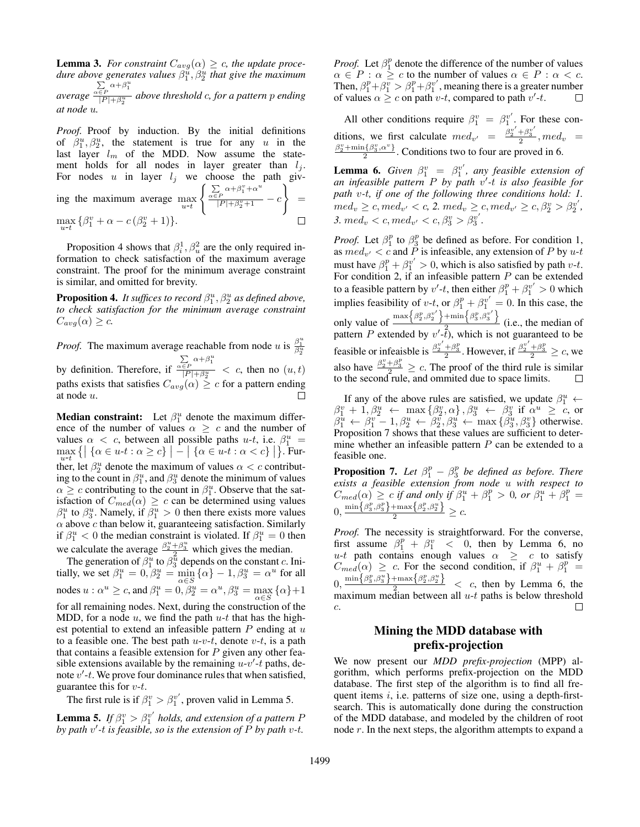<span id="page-4-0"></span>**Lemma 3.** *For constraint*  $C_{avg}(\alpha) \geq c$ *, the update procedure above generates values*  $\beta_1^{\hat{u}}, \beta_2^{\hat{u}}$  that give the maximum *average*  $\sum_{\alpha \in P} \alpha + \beta_1^u$ |P |+β u 2 *above threshold* c*, for a pattern* p *ending at node* u*.*

*Proof.* Proof by induction. By the initial definitions of  $\beta_1^u, \beta_2^u$ , the statement is true for any u in the last layer  $l_m$  of the MDD. Now assume the statement holds for all nodes in layer greater than  $l_j$ . For nodes u in layer  $l_j$  we choose the path giving the maximum average  $\max_{u \to t}$  $\int \sum_{\alpha \in P} \alpha + \beta_1^v + \alpha^u$  $\frac{P}{|P| + \beta_2^v + 1} - c$ } =  $\max_{u \in \mathcal{U}} {\beta_1^v + \alpha - c(\beta_2^v + 1)}.$ 

Proposition [4](#page-4-1) shows that  $\beta_i^1$ ,  $\beta_u^2$  are the only required information to check satisfaction of the maximum average constraint. The proof for the minimum average constraint is similar, and omitted for brevity.

<span id="page-4-1"></span>**Proposition 4.** It suffices to record  $\beta_1^u$ ,  $\beta_2^u$  as defined above, *to check satisfaction for the minimum average constraint*  $C_{avg}(\alpha) \geq c$ .

*Proof.* The maximum average reachable from node u is  $\frac{\beta_1^u}{\beta_2^u}$ 2 by definition. Therefore, if  $\sum_{\alpha \in P} \alpha + \beta_1^u$  $\frac{\epsilon P}{|P| + \beta_2^u} < c$ , then no  $(u, t)$ paths exists that satisfies  $C_{avg}(\alpha) \geq c$  for a pattern ending at node u.

**Median constraint:** Let  $\beta_1^u$  denote the maximum difference of the number of values  $\alpha \geq c$  and the number of values  $\alpha < c$ , between all possible paths u-t, i.e.  $\beta_1^u$  =  $\max_{u \in \mathcal{U}} \{ \big| \{ \alpha \in u \cdot t : \alpha \geq c \} \big| - \big| \{ \alpha \in u \cdot t : \alpha < c \} \big| \}.$  Further, let  $\beta_2^u$  denote the maximum of values  $\alpha < c$  contributing to the count in  $\beta_1^u$ , and  $\beta_3^u$  denote the minimum of values  $\alpha \geq c$  contributing to the count in  $\beta_1^u$ . Observe that the satisfaction of  $C_{med}(\alpha) \geq c$  can be determined using values  $\beta_1^u$  to  $\beta_3^u$ . Namely, if  $\beta_1^u > 0$  then there exists more values  $\alpha$  above  $c$  than below it, guaranteeing satisfaction. Similarly if  $\beta_1^u < 0$  the median constraint is violated. If  $\beta_1^u = 0$  then we calculate the average  $\frac{\beta_2^u + \beta_3^u}{2}$  which gives the median.

The generation of  $\beta_1^u$  to  $\beta_3^{\overline{u}}$  depends on the constant c. Initially, we set  $\beta_1^u = 0$ ,  $\beta_2^u = \min_{\alpha \in S} {\alpha} - 1$ ,  $\beta_3^u = \alpha^u$  for all nodes  $u : \alpha^u \geq c$ , and  $\beta_1^u = 0$ ,  $\beta_2^u = \alpha^u$ ,  $\beta_3^u = \max_{\alpha \in S} {\alpha} + 1$ for all remaining nodes. Next, during the construction of the MDD, for a node  $u$ , we find the path  $u-t$  that has the highest potential to extend an infeasible pattern  $P$  ending at  $u$ to a feasible one. The best path  $u-v-t$ , denote  $v-t$ , is a path that contains a feasible extension for  $P$  given any other feasible extensions available by the remaining  $u-v'$ -t paths, denote  $v'$ -t. We prove four dominance rules that when satisfied, guarantee this for  $v-t$ .

The first rule is if  $\beta_1^v > \beta_1^{v'}$ , proven valid in Lemma [5.](#page-4-2)

<span id="page-4-2"></span>**Lemma 5.** *If*  $\beta_1^v > \beta_1^{v'}$  *holds, and extension of a pattern P by path* v ′ *-*t *is feasible, so is the extension of* P *by path* v*-*t*.*

*Proof.* Let  $\beta_1^p$  denote the difference of the number of values  $\alpha \in P : \alpha \geq c$  to the number of values  $\alpha \in P : \alpha < c$ . Then,  $\beta_1^p + \beta_1^v > \beta_1^p + \beta_1^v'$ , meaning there is a greater number of values  $\alpha \geq c$  on path  $v$ -t, compared to path  $v'$ -t.  $\Box$ 

All other conditions require  $\beta_1^v = \beta_1^{v'}$ . For these conditions, we first calculate  $med_{v'} = \frac{\bar{\beta_2}^{\nu'} + \beta_3^{\nu'}}{2}$ ,  $med_v =$  $\beta_2^v + \min\{\beta_3^v, \alpha^v\}$  $\frac{\Gamma\{p_3,\alpha\}}{2}$ . Conditions two to four are proved in [6.](#page-4-3)

<span id="page-4-3"></span>**Lemma 6.** *Given*  $\beta_1^v = \beta_1^{v'}$ , *any feasible extension of an infeasible pattern* P *by path* v ′ *-*t *is also feasible for path* v*-*t*, if one of the following three conditions hold: 1.*  $\theta_{w} \geq c, \theta_{w} < c, 2. \text{ } \theta_{w} \geq c, \text{ } \theta_{w} \geq c, \beta_{2}^{v} > \beta_{2}^{v'},$ *3.*  $med_v < c, med_{v'} < c, \beta_3^v > \beta_3^{v'}$ .

*Proof.* Let  $\beta_1^p$  to  $\beta_3^p$  be defined as before. For condition 1, as  $med_{v'} < c$  and P is infeasible, any extension of P by  $u$ -t must have  $\beta_1^p + \beta_1^{v'} > 0$ , which is also satisfied by path v-t. For condition 2, if an infeasible pattern  $P$  can be extended to a feasible pattern by  $v'$ -t, then either  $\beta_1^p + \beta_1^{v'} > 0$  which implies feasibility of  $v-t$ , or  $\beta_1^p + \beta_1^{v'} = 0$ . In this case, the only value of  $\max\left\{\beta_2^p,\beta_2^{v'}\right\}+\min\left\{\beta_3^p,\beta_3^{v'}\right\}$  $\frac{1}{2}$  (i.e., the median of pattern P extended by  $v'$ - $\tilde{t}$ ), which is not guaranteed to be feasible or infeaisble is  $\frac{\beta_2^{\nu'} + \beta_3^p}{2}$ . However, if  $\frac{\beta_2^{\nu'} + \beta_3^p}{2} \geq c$ , we also have  $\frac{\beta_2^v + \beta_3^p}{2} \geq c$ . The proof of the third rule is similar to the second rule, and ommited due to space limits.

If any of the above rules are satisfied, we update  $\beta_1^u$   $\leftarrow$  $\beta_1^v$  + 1,  $\beta_2^u$   $\leftarrow$  max  $\{\beta_2^v, \alpha\}$ ,  $\beta_3^u$   $\leftarrow$   $\beta_3^v$  if  $\alpha^u$   $\geq$  c, or  $\beta_1^u \leftarrow \beta_1^v - 1, \beta_2^u \leftarrow \beta_2^v, \beta_3^u \leftarrow \max{\{\beta_3^u, \beta_3^v\}}$  otherwise. Proposition [7](#page-4-4) shows that these values are sufficient to determine whether an infeasible pattern  $P$  can be extended to a feasible one.

<span id="page-4-4"></span>**Proposition 7.** Let  $\beta_1^p - \beta_3^p$  be defined as before. There *exists a feasible extension from node* u *with respect to*  $C_{med}(\alpha) \geq c$  *if and only if*  $\beta_1^u + \beta_1^p > 0$ , or  $\beta_1^u + \beta_1^p =$  $0, \frac{\min\{\beta_3^p,\beta_3^p\}+\max\{\beta_2^p,\beta_2^u\}}{2} \geq c.$ 

*Proof.* The necessity is straightforward. For the converse, first assume  $\beta_1^p + \beta_1^v < 0$ , then by Lemma [6,](#page-4-3) no u-t path contains enough values  $\alpha \geq c$  to satisfy  $C_{med}(\alpha) \geq c$ . For the second condition, if  $\beta_1^u + \beta_1^p =$  $0, \frac{\min\{\beta_3^p, \beta_3^u\} + \max\{\beta_2^p, \beta_2^u\}}{2}$  < c, then by Lemma [6,](#page-4-3) the maximum median between all  $u-t$  paths is below threshold c.  $\Box$ 

# Mining the MDD database with prefix-projection

We now present our *MDD prefix-projection* (MPP) algorithm, which performs prefix-projection on the MDD database. The first step of the algorithm is to find all frequent items  $i$ , i.e. patterns of size one, using a depth-firstsearch. This is automatically done during the construction of the MDD database, and modeled by the children of root node r. In the next steps, the algorithm attempts to expand a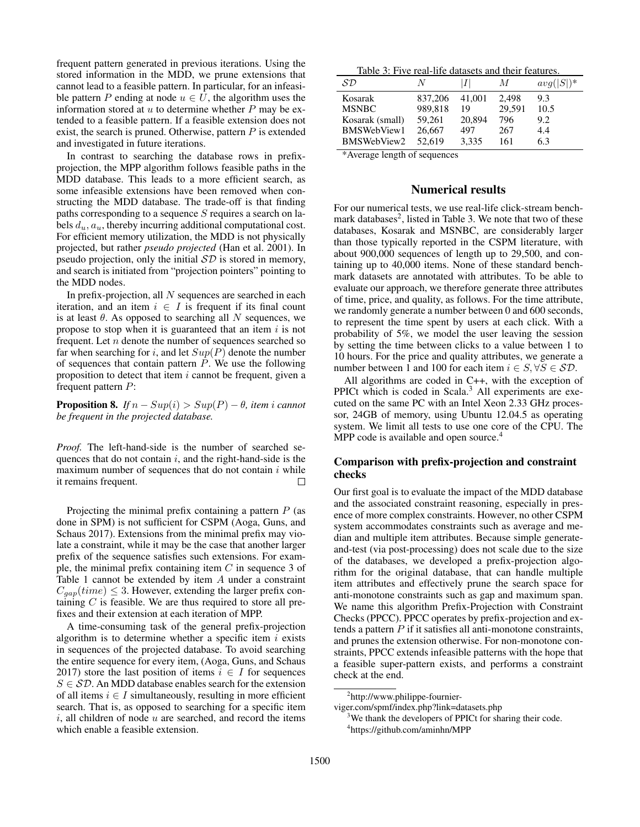frequent pattern generated in previous iterations. Using the stored information in the MDD, we prune extensions that cannot lead to a feasible pattern. In particular, for an infeasible pattern P ending at node  $u \in U$ , the algorithm uses the information stored at  $u$  to determine whether  $P$  may be extended to a feasible pattern. If a feasible extension does not exist, the search is pruned. Otherwise, pattern  $P$  is extended and investigated in future iterations.

In contrast to searching the database rows in prefixprojection, the MPP algorithm follows feasible paths in the MDD database. This leads to a more efficient search, as some infeasible extensions have been removed when constructing the MDD database. The trade-off is that finding paths corresponding to a sequence S requires a search on labels  $d_u$ ,  $a_u$ , thereby incurring additional computational cost. For efficient memory utilization, the MDD is not physically projected, but rather *pseudo projected* [\(Han et al. 2001\)](#page-7-28). In pseudo projection, only the initial  $SD$  is stored in memory, and search is initiated from "projection pointers" pointing to the MDD nodes.

In prefix-projection, all  $N$  sequences are searched in each iteration, and an item  $i \in I$  is frequent if its final count is at least  $\theta$ . As opposed to searching all N sequences, we propose to stop when it is guaranteed that an item  $i$  is not frequent. Let n denote the number of sequences searched so far when searching for i, and let  $Sup(P)$  denote the number of sequences that contain pattern  $P$ . We use the following proposition to detect that item  $i$  cannot be frequent, given a frequent pattern P:

**Proposition 8.** *If*  $n - Sup(i) > Sup(P) - \theta$ , *item i cannot be frequent in the projected database.*

*Proof.* The left-hand-side is the number of searched sequences that do not contain  $i$ , and the right-hand-side is the maximum number of sequences that do not contain  $i$  while it remains frequent.  $\Box$ 

Projecting the minimal prefix containing a pattern  $P$  (as done in SPM) is not sufficient for CSPM [\(Aoga, Guns, and](#page-7-10) [Schaus 2017\)](#page-7-10). Extensions from the minimal prefix may violate a constraint, while it may be the case that another larger prefix of the sequence satisfies such extensions. For example, the minimal prefix containing item  $C$  in sequence 3 of Table [1](#page-1-0) cannot be extended by item A under a constraint  $C_{gap}(time) \leq 3$ . However, extending the larger prefix containing  $C$  is feasible. We are thus required to store all prefixes and their extension at each iteration of MPP.

A time-consuming task of the general prefix-projection algorithm is to determine whether a specific item  $i$  exists in sequences of the projected database. To avoid searching the entire sequence for every item, [\(Aoga, Guns, and Schaus](#page-7-10) [2017\)](#page-7-10) store the last position of items  $i \in I$  for sequences  $S \in \mathcal{SD}$ . An MDD database enables search for the extension of all items  $i \in I$  simultaneously, resulting in more efficient search. That is, as opposed to searching for a specific item  $i$ , all children of node  $u$  are searched, and record the items which enable a feasible extension.

<span id="page-5-1"></span>

| Table 3: Five real-life datasets and their features. |
|------------------------------------------------------|
|------------------------------------------------------|

| $\mathcal{SD}$  | Ν       |        | M      | $avg( S )^*$ |
|-----------------|---------|--------|--------|--------------|
| Kosarak         | 837,206 | 41.001 | 2.498  | 9.3          |
| <b>MSNBC</b>    | 989.818 | 19     | 29,591 | 10.5         |
| Kosarak (small) | 59.261  | 20,894 | 796    | 9.2          |
| BMSWebView1     | 26,667  | 497    | 267    | 4.4          |
| BMSWebView2     | 52.619  | 3,335  | 161    | 6.3          |

\*Average length of sequences

### Numerical results

For our numerical tests, we use real-life click-stream bench-mark databases<sup>[2](#page-5-0)</sup>, listed in Table [3.](#page-5-1) We note that two of these databases, Kosarak and MSNBC, are considerably larger than those typically reported in the CSPM literature, with about 900,000 sequences of length up to 29,500, and containing up to 40,000 items. None of these standard benchmark datasets are annotated with attributes. To be able to evaluate our approach, we therefore generate three attributes of time, price, and quality, as follows. For the time attribute, we randomly generate a number between 0 and 600 seconds, to represent the time spent by users at each click. With a probability of 5%, we model the user leaving the session by setting the time between clicks to a value between 1 to 10 hours. For the price and quality attributes, we generate a number between 1 and 100 for each item  $i \in S, \forall S \in \mathcal{SD}$ .

All algorithms are coded in C++, with the exception of PPICt which is coded in Scala.<sup>[3](#page-5-2)</sup> All experiments are executed on the same PC with an Intel Xeon 2.33 GHz processor, 24GB of memory, using Ubuntu 12.04.5 as operating system. We limit all tests to use one core of the CPU. The MPP code is available and open source.<sup>[4](#page-5-3)</sup>

## Comparison with prefix-projection and constraint checks

Our first goal is to evaluate the impact of the MDD database and the associated constraint reasoning, especially in presence of more complex constraints. However, no other CSPM system accommodates constraints such as average and median and multiple item attributes. Because simple generateand-test (via post-processing) does not scale due to the size of the databases, we developed a prefix-projection algorithm for the original database, that can handle multiple item attributes and effectively prune the search space for anti-monotone constraints such as gap and maximum span. We name this algorithm Prefix-Projection with Constraint Checks (PPCC). PPCC operates by prefix-projection and extends a pattern  $P$  if it satisfies all anti-monotone constraints, and prunes the extension otherwise. For non-monotone constraints, PPCC extends infeasible patterns with the hope that a feasible super-pattern exists, and performs a constraint check at the end.

viger.com/spmf/index.php?link=datasets.php

<span id="page-5-0"></span><sup>2</sup> http://www.philippe-fournier-

<span id="page-5-3"></span><span id="page-5-2"></span> $3$ We thank the developers of PPICt for sharing their code. 4 https://github.com/aminhn/MPP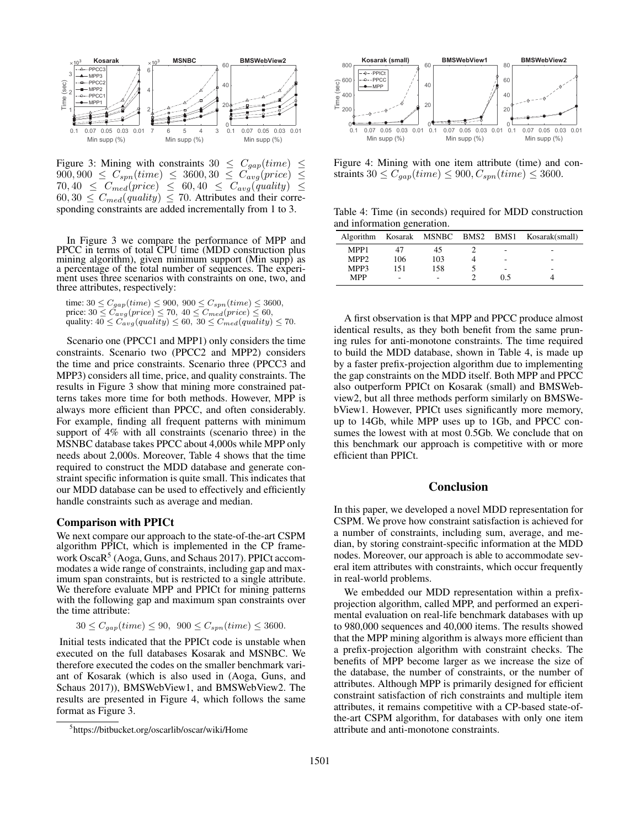

<span id="page-6-0"></span>Figure 3: Mining with constraints  $30 \leq C_{gap}(time) \leq 900,900 \leq C_{spn}(time) \leq 3600,30 \leq C_{avg}(price) \leq 1$  $900, 900 \leq C_{spn}(time) \leq 3600, 30 \leq C_{avg}(price) \leq$  $70, 40 \leq C_{med}(price) \leq 60, 40 \leq C_{avg}(quality) \leq$  $60, 30 \leq C_{med}(quality) \leq 70$ . Attributes and their corresponding constraints are added incrementally from 1 to 3.

In Figure [3](#page-6-0) we compare the performance of MPP and PPCC in terms of total CPU time (MDD construction plus mining algorithm), given minimum support (Min supp) as a percentage of the total number of sequences. The experiment uses three scenarios with constraints on one, two, and three attributes, respectively:

time:  $30 \le C_{gap}(time) \le 900, 900 \le C_{spn}(time) \le 3600,$ price:  $30 \leq C_{avg}(price) \leq 70, 40 \leq C_{med}(price) \leq 60,$ quality:  $40 \leq C_{avg}(quality) \leq 60, 30 \leq C_{med}(quality) \leq 70.$ 

Scenario one (PPCC1 and MPP1) only considers the time constraints. Scenario two (PPCC2 and MPP2) considers the time and price constraints. Scenario three (PPCC3 and MPP3) considers all time, price, and quality constraints. The results in Figure [3](#page-6-0) show that mining more constrained patterns takes more time for both methods. However, MPP is always more efficient than PPCC, and often considerably. For example, finding all frequent patterns with minimum support of 4% with all constraints (scenario three) in the MSNBC database takes PPCC about 4,000s while MPP only needs about 2,000s. Moreover, Table [4](#page-6-1) shows that the time required to construct the MDD database and generate constraint specific information is quite small. This indicates that our MDD database can be used to effectively and efficiently handle constraints such as average and median.

## Comparison with PPICt

We next compare our approach to the state-of-the-art CSPM algorithm PPICt, which is implemented in the CP frame-work OscaR<sup>[5](#page-6-2)</sup> [\(Aoga, Guns, and Schaus 2017\)](#page-7-10). PPICt accommodates a wide range of constraints, including gap and maximum span constraints, but is restricted to a single attribute. We therefore evaluate MPP and PPICt for mining patterns with the following gap and maximum span constraints over the time attribute:

 $30 \leq C_{gap}(time) \leq 90, \ \ 900 \leq C_{spn}(time) \leq 3600.$ 

Initial tests indicated that the PPICt code is unstable when executed on the full databases Kosarak and MSNBC. We therefore executed the codes on the smaller benchmark variant of Kosarak (which is also used in [\(Aoga, Guns, and](#page-7-10) [Schaus 2017\)](#page-7-10)), BMSWebView1, and BMSWebView2. The results are presented in Figure [4,](#page-6-3) which follows the same format as Figure [3.](#page-6-0)



<span id="page-6-3"></span>Figure 4: Mining with one item attribute (time) and constraints  $30 \leq C_{gap}(time) \leq 900, C_{spn}(time) \leq 3600$ .

<span id="page-6-1"></span>Table 4: Time (in seconds) required for MDD construction and information generation.

| Algorithm        |     | Kosarak MSNBC BMS2 BMS1 |                          | Kosarak(small) |
|------------------|-----|-------------------------|--------------------------|----------------|
| MPP1             |     | 45                      | $\overline{\phantom{a}}$ | -              |
| MPP <sub>2</sub> | 106 | 103                     | $\overline{\phantom{a}}$ | -              |
| MPP3             | 151 | 158                     | $\overline{\phantom{a}}$ | -              |
| <b>MPP</b>       | -   |                         | 0.5                      |                |

A first observation is that MPP and PPCC produce almost identical results, as they both benefit from the same pruning rules for anti-monotone constraints. The time required to build the MDD database, shown in Table [4,](#page-6-1) is made up by a faster prefix-projection algorithm due to implementing the gap constraints on the MDD itself. Both MPP and PPCC also outperform PPICt on Kosarak (small) and BMSWebview2, but all three methods perform similarly on BMSWebView1. However, PPICt uses significantly more memory, up to 14Gb, while MPP uses up to 1Gb, and PPCC consumes the lowest with at most 0.5Gb. We conclude that on this benchmark our approach is competitive with or more efficient than PPICt.

## Conclusion

In this paper, we developed a novel MDD representation for CSPM. We prove how constraint satisfaction is achieved for a number of constraints, including sum, average, and median, by storing constraint-specific information at the MDD nodes. Moreover, our approach is able to accommodate several item attributes with constraints, which occur frequently in real-world problems.

We embedded our MDD representation within a prefixprojection algorithm, called MPP, and performed an experimental evaluation on real-life benchmark databases with up to 980,000 sequences and 40,000 items. The results showed that the MPP mining algorithm is always more efficient than a prefix-projection algorithm with constraint checks. The benefits of MPP become larger as we increase the size of the database, the number of constraints, or the number of attributes. Although MPP is primarily designed for efficient constraint satisfaction of rich constraints and multiple item attributes, it remains competitive with a CP-based state-ofthe-art CSPM algorithm, for databases with only one item attribute and anti-monotone constraints.

<span id="page-6-2"></span><sup>5</sup> https://bitbucket.org/oscarlib/oscar/wiki/Home